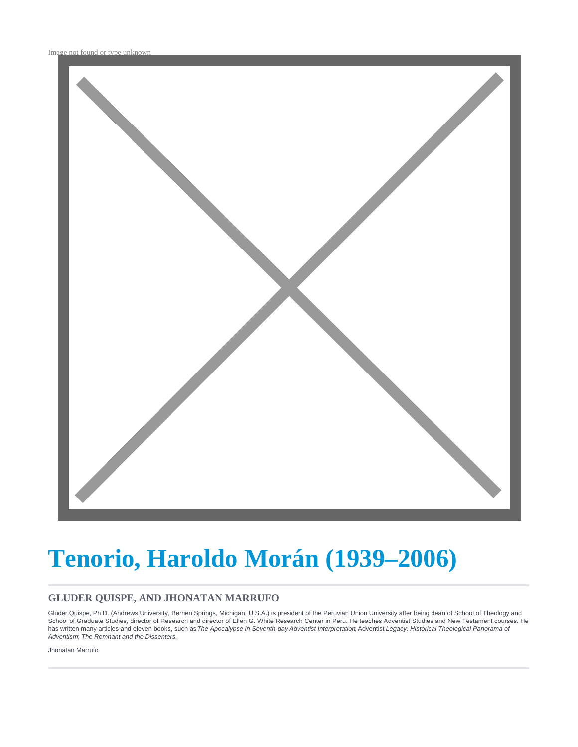

# **Tenorio, Haroldo Morán (1939–2006)**

#### **GLUDER QUISPE, AND JHONATAN MARRUFO**

Gluder Quispe, Ph.D. (Andrews University, Berrien Springs, Michigan, U.S.A.) is president of the Peruvian Union University after being dean of School of Theology and School of Graduate Studies, director of Research and director of Ellen G. White Research Center in Peru. He teaches Adventist Studies and New Testament courses. He has written many articles and eleven books, such as The Apocalypse in Seventh-day Adventist Interpretation Adventist Legacy: Historical Theological Panorama of Adventism; The Remnant and the Dissenters.

Jhonatan Marrufo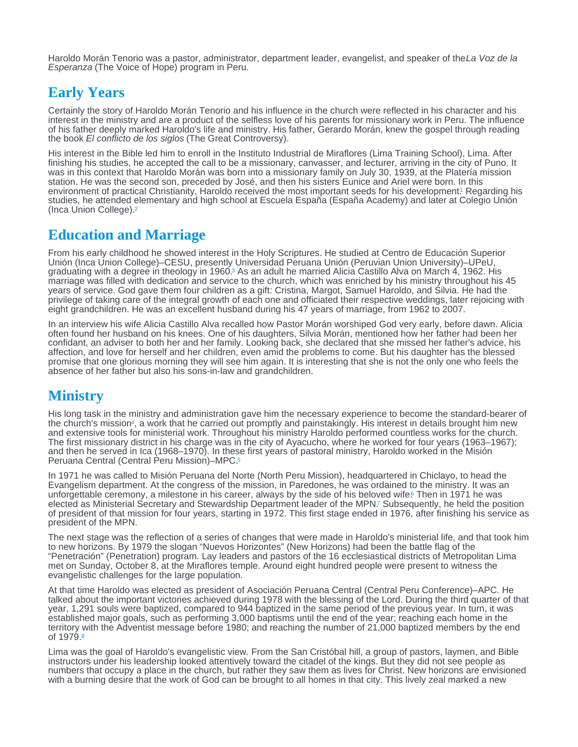<span id="page-1-0"></span>Haroldo Morán Tenorio was a pastor, administrator, department leader, evangelist, and speaker of the La Voz de la Esperanza (The Voice of Hope) program in Peru.

### Early Years

Certainly the story of Haroldo Morán Tenorio and his influence in the church were reflected in his character and his interest in the ministry and are a product of the selfless love of his parents for missionary work in Peru. The influence of his father deeply marked Haroldo's life and ministry. His father, Gerardo Morán, knew the gospel through reading the book El conflicto de los siglos (The Great Controversy).

His interest in the Bible led him to enroll in the Instituto Industrial de Miraflores (Lima Training School), Lima. After finishing his studies, he accepted the call to be a missionary, canvasser, and lecturer, arriving in the city of Puno. It was in this context that Haroldo Morán was born into a missionary family on July 30, 1939, at the Platería mission station. He was the second son, preceded by José, and then his sisters Eunice and Ariel were born. In this environment of practical Christianity, Haroldo received the most important seeds for his development[.](#page-3-0) Regarding his 1 studies, he attended elementary and high school at Escuela España (España Academy) and later at Colegio Unión (Inca Union College). [2](#page-3-0)

## Education and Marriage

From his early childhood he showed interest in the Holy Scriptures. He studied at Centro de Educación Superior Unión (Inca Union College)–CESU, presently Universidad Peruana Unión (Peruvian Union University)–UPeU, graduating with a degree in theology in 1960.<sup>3</sup> As an adult he married Alicia Castillo Alva on March 4, 1962[.](#page-3-0) His marriage was filled with dedication and service to the church, which was enriched by his ministry throughout his 45 years of service. God gave them four children as a gift: Cristina, Margot, Samuel Haroldo, and Silvia. He had the privilege of taking care of the integral growth of each one and officiated their respective weddings, later rejoicing with eight grandchildren. He was an excellent husband during his 47 years of marriage, from 1962 to 2007.

In an interview his wife Alicia Castillo Alva recalled how Pastor Morán worshiped God very early, before dawn. Alicia often found her husband on his knees. One of his daughters, Silvia Morán, mentioned how her father had been her confidant, an adviser to both her and her family. Looking back, she declared that she missed her father's advice, his affection, and love for herself and her children, even amid the problems to come. But his daughter has the blessed promise that one glorious morning they will see him again. It is interesting that she is not the only one who feels the absence of her father but also his sons-in-law and grandchildren.

## **Ministry**

His long task in the ministry and administration gave him the necessary experience to become the standard-bearer of the church's mission<sup>[4](#page-3-0)</sup>, a work that he carried out promptly and painstakingly. His interest in details brought him new and extensive tools for ministerial work. Throughout his ministry Haroldo performed countless works for the church. The first missionary district in his charge was in the city of Ayacucho, where he worked for four years (1963–1967); and then he served in Ica (1968–1970). In these first years of pastoral ministry, Haroldo worked in the Misión Peruana Central (Central Peru Mission)-MPC.<sup>[5](#page-3-0)</sup>

In 1971 he was called to Misión Peruana del Norte (North Peru Mission), headquartered in Chiclayo, to head the Evangelism department. At the congress of the mission, in Paredones, he was ordained to the ministry. It was an unforgettable ceremony, a milestone in his career, always by the side of his beloved wife[.](#page-3-0) Then in 1971 he was elected as Ministerial Secretary and Stewardship Department leader of the MPN? Subsequently, he held the position of president of that mission for four years, starting in 1972. This first stage ended in 1976, after finishing his service as president of the MPN.

The next stage was the reflection of a series of changes that were made in Haroldo's ministerial life, and that took him to new horizons. By 1979 the slogan "Nuevos Horizontes" (New Horizons) had been the battle flag of the "Penetración" (Penetration) program. Lay leaders and pastors of the 16 ecclesiastical districts of Metropolitan Lima met on Sunday, October 8, at the Miraflores temple. Around eight hundred people were present to witness the evangelistic challenges for the large population.

At that time Haroldo was elected as president of Asociación Peruana Central (Central Peru Conference)–APC. He talked about the important victories achieved during 1978 with the blessing of the Lord. During the third quarter of that year, 1,291 souls were baptized, compared to 944 baptized in the same period of the previous year. In turn, it was established major goals, such as performing 3,000 baptisms until the end of the year; reaching each home in the territory with the Adventist message before 1980; and reaching the number of 21,000 baptized members by the end of 1979.[8](#page-3-0)

Lima was the goal of Haroldo's evangelistic view. From the San Cristóbal hill, a group of pastors, laymen, and Bible instructors under his leadership looked attentively toward the citadel of the kings. But they did not see people as numbers that occupy a place in the church, but rather they saw them as lives for Christ. New horizons are envisioned with a burning desire that the work of God can be brought to all homes in that city. This lively zeal marked a new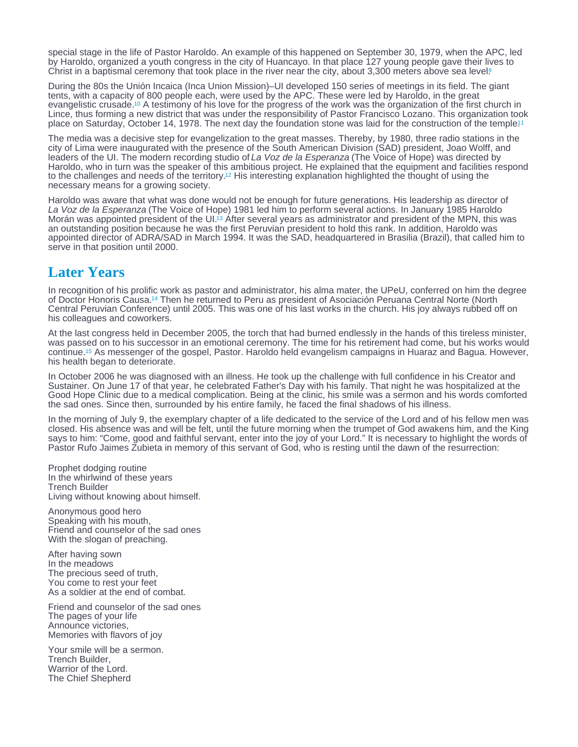<span id="page-2-0"></span>special stage in the life of Pastor Haroldo. An example of this happened on September 30, 1979, when the APC, led by Haroldo, organized a youth congress in the city of Huancayo. In that place 127 young people gave their lives to Christ in a baptismal ceremony that took place in the river near the city, about 3,300 meters above sea level?

During the 80s the Unión Incaica (Inca Union Mission)–UI developed 150 series of meetings in its field. The giant tents, with a capacity of 800 people each, were used by the APC. These were led by Haroldo, in the great evangelistic crusade.<sup>10</sup> A testimony of his love for the progress of the work was the organization of the first church in Lince, thus forming a new district that was under the responsibility of Pastor Francisco Lozano. This organization took place on Saturday, October 14, 1978. The next day the foundation stone was laid for the construction of the temple!<sup>1</sup>

The media was a decisive step for evangelization to the great masses. Thereby, by 1980, three radio stations in the city of Lima were inaugurated with the presence of the South American Division (SAD) president, Joao Wolff, and leaders of the UI. The modern recording studio of La Voz de la Esperanza (The Voice of Hope) was directed by Haroldo, who in turn was the speaker of this ambitious project. He explained that the equipment and facilities respond to the challenges and needs of the territory[.](#page-3-0)<sup>12</sup> His interesting explanation highlighted the thought of using the necessary means for a growing society.

Haroldo was aware that what was done would not be enough for future generations. His leadership as director of La Voz de la Esperanza (The Voice of Hope) 1981 led him to perform several actions. In January 1985 Haroldo Morán was appointed president of the UI.<sup>13</sup> After several years as administrator and president of the MPN, this was an outstanding position because he was the first Peruvian president to hold this rank. In addition, Haroldo was appointed director of ADRA/SAD in March 1994. It was the SAD, headquartered in Brasilia (Brazil), that called him to serve in that position until 2000.

#### Later Years

In recognition of his prolific work as pastor and administrator, his alma mater, the UPeU, conferred on him the degree of Doctor Honoris Causa[.](#page-3-0)<sup>14</sup> Then he returned to Peru as president of Asociación Peruana Central Norte (North Central Peruvian Conference) until 2005. This was one of his last works in the church. His joy always rubbed off on his colleagues and coworkers.

At the last congress held in December 2005, the torch that had burned endlessly in the hands of this tireless minister, was passed on to his successor in an emotional ceremony. The time for his retirement had come, but his works would continue.<sup>15</sup> As messenger of the gospel, Pastor. Haroldo held evangelism campaigns in Huaraz and Bagua. However, his health began to deteriorate.

In October 2006 he was diagnosed with an illness. He took up the challenge with full confidence in his Creator and Sustainer. On June 17 of that year, he celebrated Father's Day with his family. That night he was hospitalized at the Good Hope Clinic due to a medical complication. Being at the clinic, his smile was a sermon and his words comforted the sad ones. Since then, surrounded by his entire family, he faced the final shadows of his illness.

In the morning of July 9, the exemplary chapter of a life dedicated to the service of the Lord and of his fellow men was closed. His absence was and will be felt, until the future morning when the trumpet of God awakens him, and the King says to him: "Come, good and faithful servant, enter into the joy of your Lord." It is necessary to highlight the words of Pastor Rufo Jaimes Zubieta in memory of this servant of God, who is resting until the dawn of the resurrection:

Prophet dodging routine In the whirlwind of these years Trench Builder Living without knowing about himself.

Anonymous good hero Speaking with his mouth, Friend and counselor of the sad ones With the slogan of preaching.

After having sown In the meadows The precious seed of truth, You come to rest your feet As a soldier at the end of combat.

Friend and counselor of the sad ones The pages of your life Announce victories, Memories with flavors of joy

Your smile will be a sermon. Trench Builder, Warrior of the Lord. The Chief Shepherd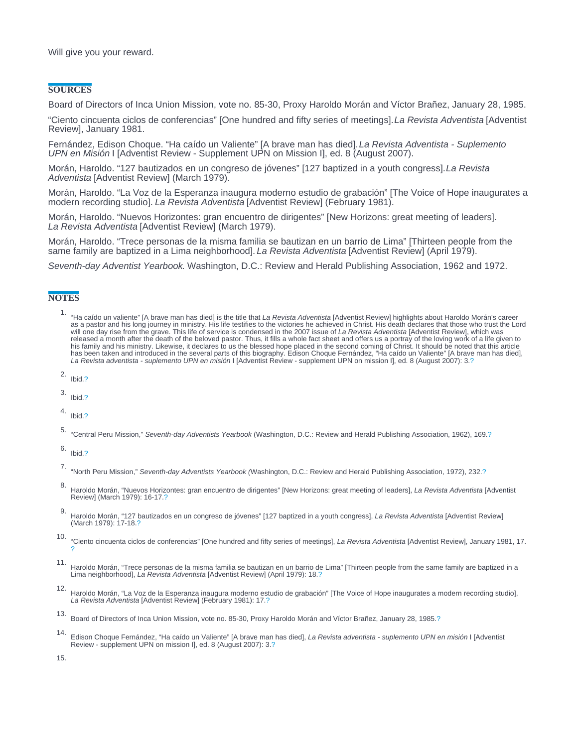#### <span id="page-3-0"></span>**SOURCES**

Board of Directors of Inca Union Mission, vote no. 85-30, Proxy Haroldo Morán and Víctor Brañez, January 28, 1985.

"Ciento cincuenta ciclos de conferencias" [One hundred and fifty series of meetings]. La Revista Adventista [Adventist Review], January 1981.

Fernández, Edison Choque. "Ha caído un Valiente" [A brave man has died]. La Revista Adventista - Suplemento UPN en Misión I [Adventist Review - Supplement UPN on Mission I], ed. 8 (August 2007).

Morán, Haroldo. "127 bautizados en un congreso de jóvenes" [127 baptized in a youth congress]. La Revista Adventista [Adventist Review] (March 1979).

Morán, Haroldo. "La Voz de la Esperanza inaugura moderno estudio de grabación" [The Voice of Hope inaugurates a modern recording studio]. La Revista Adventista [Adventist Review] (February 1981).

Morán, Haroldo. "Nuevos Horizontes: gran encuentro de dirigentes" [New Horizons: great meeting of leaders]. La Revista Adventista [Adventist Review] (March 1979).

Morán, Haroldo. "Trece personas de la misma familia se bautizan en un barrio de Lima" [Thirteen people from the same family are baptized in a Lima neighborhood]. La Revista Adventista [Adventist Review] (April 1979).

Seventh-day Adventist Yearbook. Washington, D.C.: Review and Herald Publishing Association, 1962 and 1972.

#### **NOTES**

- <sup>1</sup>. "Ha caído un valiente" [A brave man has died] is the title that La Revista Adventista [Adventist Review] highlights about Haroldo Morán's career as a pastor and his long journey in ministry. His life testifies to the
- 2. Ibid[.?](#page-1-0)
- 3. Ibid[.?](#page-1-0)
- 4. Ibid[.?](#page-1-0)
- 5. "Central Peru Mission," Seventh-day Adventists Yearbook (Washington, D.C.: Review and Herald Publishing Association, 1962), 169.[?](#page-1-0)

6. Ibid[.?](#page-1-0)

- 7. "North Peru Mission," Seventh-day Adventists Yearbook (Washington, D.C.: Review and Herald Publishing Association, 1972), 232[.?](#page-1-0)
- 8. Haroldo Morán, "Nuevos Horizontes: gran encuentro de dirigentes" [New Horizons: great meeting of leaders], La Revista Adventista [Adventist Review] (March 1979): 16-17.[?](#page-1-0)
- 9. Haroldo Morán, "127 bautizados en un congreso de jóvenes" [127 baptized in a youth congress], La Revista Adventista [Adventist Review] (March 1979): 17-18[.?](#page-2-0)
- 10. "Ciento cincuenta ciclos de conferencias" [One hundred and fifty series of meetings], La Revista Adventista [Adventist Review], January 1981, 17. [?](#page-2-0)
- 11. Haroldo Morán, "Trece personas de la misma familia se bautizan en un barrio de Lima" [Thirteen people from the same family are baptized in a Lima neighborhood], La Revista Adventista [Adventist Review] (April 1979): 18[.?](#page-2-0)
- 12. Haroldo Morán, "La Voz de la Esperanza inaugura moderno estudio de grabación" [The Voice of Hope inaugurates a modern recording studio], La Revista Adventista [Adventist Review] (February 1981): 17.[?](#page-2-0)
- 13. Board of Directors of Inca Union Mission, vote no. 85-30, Proxy Haroldo Morán and Víctor Brañez, January 28, 1985.[?](#page-2-0)
- 14. Edison Choque Fernández, "Ha caído un Valiente" [A brave man has died], La Revista adventista suplemento UPN en misión I [Adventist Review - supplement UPN on mission I], ed. 8 (August 2007): 3.[?](#page-2-0)

15.